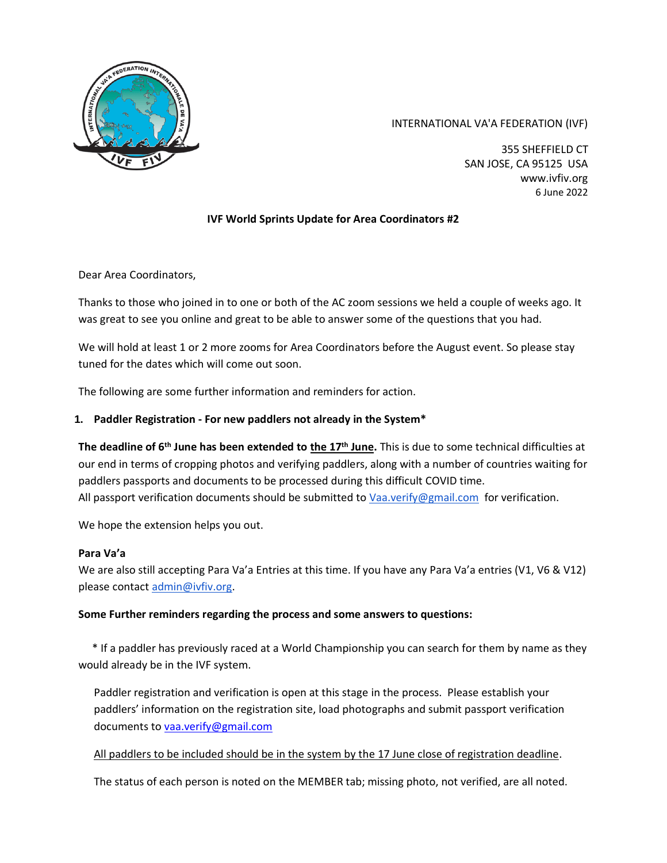

# INTERNATIONAL VA'A FEDERATION (IVF)

355 SHEFFIELD CT SAN JOSE, CA 95125 USA www.ivfiv.org 6 June 2022

# **IVF World Sprints Update for Area Coordinators #2**

Dear Area Coordinators,

Thanks to those who joined in to one or both of the AC zoom sessions we held a couple of weeks ago. It was great to see you online and great to be able to answer some of the questions that you had.

We will hold at least 1 or 2 more zooms for Area Coordinators before the August event. So please stay tuned for the dates which will come out soon.

The following are some further information and reminders for action.

## **1. Paddler Registration - For new paddlers not already in the System\***

**The deadline of 6th June has been extended to the 17th June.** This is due to some technical difficulties at our end in terms of cropping photos and verifying paddlers, along with a number of countries waiting for paddlers passports and documents to be processed during this difficult COVID time. All passport verification documents should be submitted to [Vaa.verify@gmail.com](mailto:Vaa.verify@gmail.com) for verification.

We hope the extension helps you out.

#### **Para Va'a**

We are also still accepting Para Va'a Entries at this time. If you have any Para Va'a entries (V1, V6 & V12) please contact [admin@ivfiv.org.](mailto:admin@ivfiv.org)

#### **Some Further reminders regarding the process and some answers to questions:**

 \* If a paddler has previously raced at a World Championship you can search for them by name as they would already be in the IVF system.

Paddler registration and verification is open at this stage in the process. Please establish your paddlers' information on the registration site, load photographs and submit passport verification documents t[o vaa.verify@gmail.com](mailto:vaa.verify@gmail.com)

#### All paddlers to be included should be in the system by the 17 June close of registration deadline.

The status of each person is noted on the MEMBER tab; missing photo, not verified, are all noted.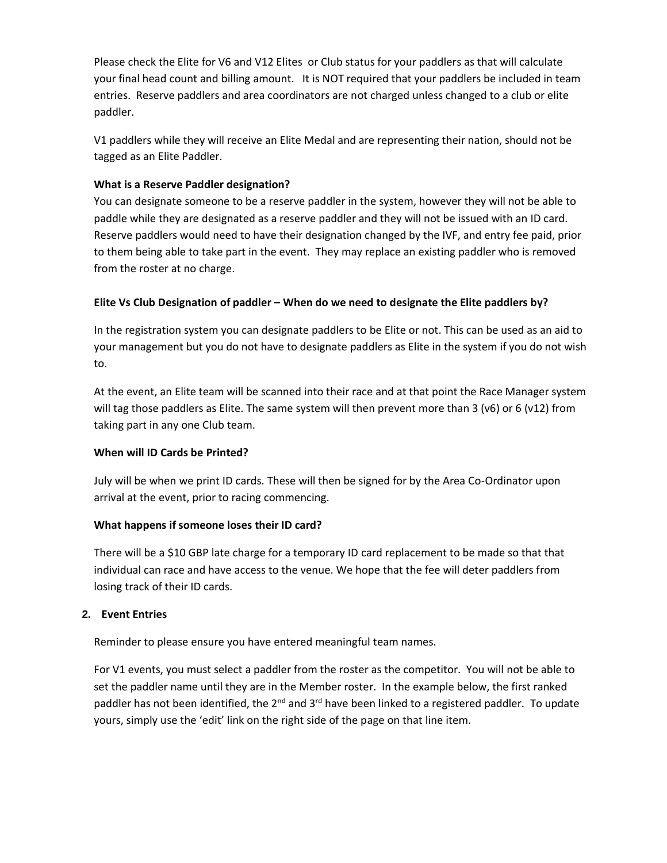Please check the Elite for V6 and V12 Elites or Club status for your paddlers as that will calculate your final head count and billing amount. It is NOT required that your paddlers be included in team entries. Reserve paddlers and area coordinators are not charged unless changed to a club or elite paddler.

V1 paddlers while they will receive an Elite Medal and are representing their nation, should not be tagged as an Elite Paddler.

# **What is a Reserve Paddler designation?**

You can designate someone to be a reserve paddler in the system, however they will not be able to paddle while they are designated as a reserve paddler and they will not be issued with an ID card. Reserve paddlers would need to have their designation changed by the IVF, and entry fee paid, prior to them being able to take part in the event. They may replace an existing paddler who is removed from the roster at no charge.

# **Elite Vs Club Designation of paddler – When do we need to designate the Elite paddlers by?**

In the registration system you can designate paddlers to be Elite or not. This can be used as an aid to your management but you do not have to designate paddlers as Elite in the system if you do not wish to.

At the event, an Elite team will be scanned into their race and at that point the Race Manager system will tag those paddlers as Elite. The same system will then prevent more than 3 (v6) or 6 (v12) from taking part in any one Club team.

# **When will ID Cards be Printed?**

July will be when we print ID cards. These will then be signed for by the Area Co-Ordinator upon arrival at the event, prior to racing commencing.

## **What happens if someone loses their ID card?**

There will be a \$10 GBP late charge for a temporary ID card replacement to be made so that that individual can race and have access to the venue. We hope that the fee will deter paddlers from losing track of their ID cards.

## **2. Event Entries**

Reminder to please ensure you have entered meaningful team names.

For V1 events, you must select a paddler from the roster as the competitor. You will not be able to set the paddler name until they are in the Member roster. In the example below, the first ranked paddler has not been identified, the  $2^{nd}$  and  $3^{rd}$  have been linked to a registered paddler. To update yours, simply use the 'edit' link on the right side of the page on that line item.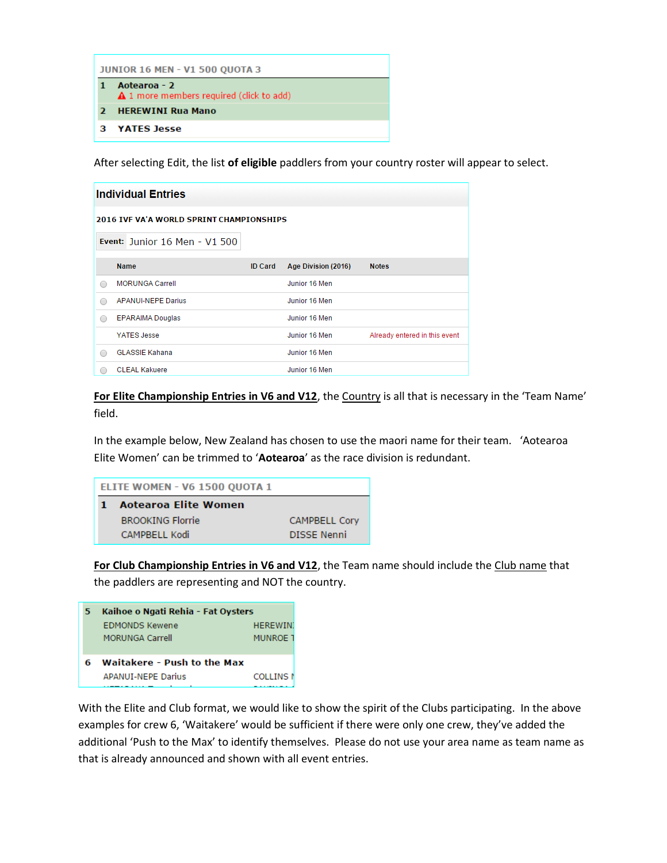| <b>JUNIOR 16 MEN - V1 500 OUOTA 3</b> |                                                          |  |  |  |
|---------------------------------------|----------------------------------------------------------|--|--|--|
|                                       | Aotearoa - 2<br>▲ 1 more members required (click to add) |  |  |  |
| $\mathbf{z}$                          | <b>HEREWINI Rua Mano</b>                                 |  |  |  |
| з                                     | YATES Jesse                                              |  |  |  |

After selecting Edit, the list **of eligible** paddlers from your country roster will appear to select.

| <b>Individual Entries</b>                |                               |                |                     |                               |  |  |
|------------------------------------------|-------------------------------|----------------|---------------------|-------------------------------|--|--|
| 2016 IVE VA'A WORLD SPRINT CHAMPIONSHIPS |                               |                |                     |                               |  |  |
|                                          | Event: Junior 16 Men - V1 500 |                |                     |                               |  |  |
|                                          | <b>Name</b>                   | <b>ID Card</b> | Age Division (2016) | <b>Notes</b>                  |  |  |
| $\bigcap$                                | <b>MORUNGA Carrell</b>        |                | Junior 16 Men       |                               |  |  |
| ∩                                        | <b>APANUI-NEPE Darius</b>     |                | Junior 16 Men       |                               |  |  |
| $\bigcap$                                | <b>EPARAIMA Douglas</b>       |                | Junior 16 Men       |                               |  |  |
|                                          | <b>YATES Jesse</b>            |                | Junior 16 Men       | Already entered in this event |  |  |
| ⋒                                        | <b>GLASSIE Kahana</b>         |                | Junior 16 Men       |                               |  |  |
|                                          | <b>CLEAL Kakuere</b>          |                | Junior 16 Men       |                               |  |  |

**For Elite Championship Entries in V6 and V12**, the Country is all that is necessary in the 'Team Name' field.

In the example below, New Zealand has chosen to use the maori name for their team. 'Aotearoa Elite Women' can be trimmed to '**Aotearoa**' as the race division is redundant.

| ELITE WOMEN - V6 1500 QUOTA 1 |                         |                      |  |  |
|-------------------------------|-------------------------|----------------------|--|--|
|                               | Aotearoa Elite Women    |                      |  |  |
|                               | <b>BROOKING Florrie</b> | <b>CAMPBELL Corv</b> |  |  |
|                               | CAMPBELL Kodi           | <b>DISSE Nenni</b>   |  |  |

**For Club Championship Entries in V6 and V12**, the Team name should include the Club name that the paddlers are representing and NOT the country.

| 5 | Kaihoe o Ngati Rehia - Fat Oysters |                  |  |
|---|------------------------------------|------------------|--|
|   | <b>FDMONDS Kewene</b>              | <b>HEREWIN</b>   |  |
|   | <b>MORUNGA Carrell</b>             | <b>MUNROF 1</b>  |  |
|   |                                    |                  |  |
|   | Waitakere - Push to the Max        |                  |  |
|   | <b>APANUI-NEPE Darius</b>          | <b>COLLINS N</b> |  |
|   |                                    |                  |  |

With the Elite and Club format, we would like to show the spirit of the Clubs participating. In the above examples for crew 6, 'Waitakere' would be sufficient if there were only one crew, they've added the additional 'Push to the Max' to identify themselves. Please do not use your area name as team name as that is already announced and shown with all event entries.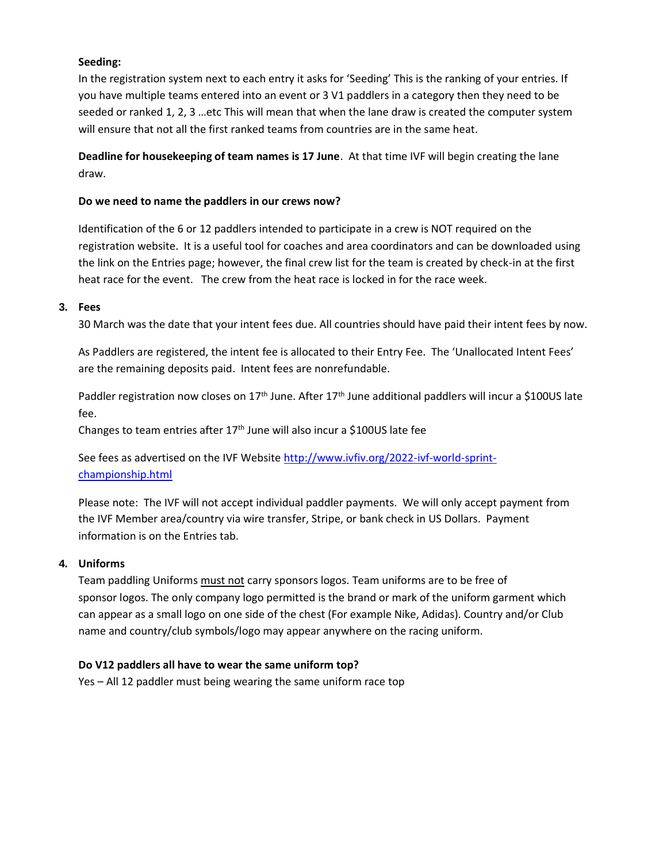# **Seeding:**

In the registration system next to each entry it asks for 'Seeding' This is the ranking of your entries. If you have multiple teams entered into an event or 3 V1 paddlers in a category then they need to be seeded or ranked 1, 2, 3 …etc This will mean that when the lane draw is created the computer system will ensure that not all the first ranked teams from countries are in the same heat.

**Deadline for housekeeping of team names is 17 June**. At that time IVF will begin creating the lane draw.

## **Do we need to name the paddlers in our crews now?**

Identification of the 6 or 12 paddlers intended to participate in a crew is NOT required on the registration website. It is a useful tool for coaches and area coordinators and can be downloaded using the link on the Entries page; however, the final crew list for the team is created by check-in at the first heat race for the event. The crew from the heat race is locked in for the race week.

#### **3. Fees**

30 March was the date that your intent fees due. All countries should have paid their intent fees by now.

As Paddlers are registered, the intent fee is allocated to their Entry Fee. The 'Unallocated Intent Fees' are the remaining deposits paid. Intent fees are nonrefundable.

Paddler registration now closes on 17<sup>th</sup> June. After 17<sup>th</sup> June additional paddlers will incur a \$100US late fee.

Changes to team entries after 17<sup>th</sup> June will also incur a \$100US late fee

See fees as advertised on the IVF Website [http://www.ivfiv.org/2022-ivf-world-sprint](http://www.ivfiv.org/2022-ivf-world-sprint-championship.html)[championship.html](http://www.ivfiv.org/2022-ivf-world-sprint-championship.html)

Please note: The IVF will not accept individual paddler payments. We will only accept payment from the IVF Member area/country via wire transfer, Stripe, or bank check in US Dollars. Payment information is on the Entries tab.

## **4. Uniforms**

Team paddling Uniforms must not carry sponsors logos. Team uniforms are to be free of sponsor logos. The only company logo permitted is the brand or mark of the uniform garment which can appear as a small logo on one side of the chest (For example Nike, Adidas). Country and/or Club name and country/club symbols/logo may appear anywhere on the racing uniform.

## **Do V12 paddlers all have to wear the same uniform top?**

Yes – All 12 paddler must being wearing the same uniform race top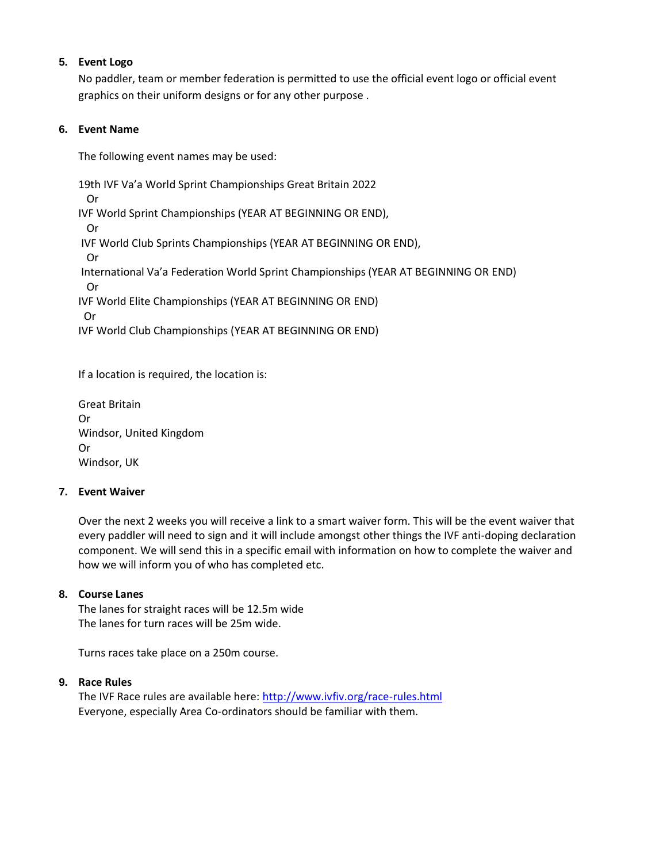# **5. Event Logo**

No paddler, team or member federation is permitted to use the official event logo or official event graphics on their uniform designs or for any other purpose .

# **6. Event Name**

The following event names may be used:

19th IVF Va'a World Sprint Championships Great Britain 2022 Or IVF World Sprint Championships (YEAR AT BEGINNING OR END), Or IVF World Club Sprints Championships (YEAR AT BEGINNING OR END), Or International Va'a Federation World Sprint Championships (YEAR AT BEGINNING OR END) Or IVF World Elite Championships (YEAR AT BEGINNING OR END) Or IVF World Club Championships (YEAR AT BEGINNING OR END)

If a location is required, the location is:

| <b>Great Britain</b>    |
|-------------------------|
| .Or                     |
| Windsor, United Kingdom |
| 0r                      |
| Windsor, UK             |

## **7. Event Waiver**

Over the next 2 weeks you will receive a link to a smart waiver form. This will be the event waiver that every paddler will need to sign and it will include amongst other things the IVF anti-doping declaration component. We will send this in a specific email with information on how to complete the waiver and how we will inform you of who has completed etc.

## **8. Course Lanes**

The lanes for straight races will be 12.5m wide The lanes for turn races will be 25m wide.

Turns races take place on a 250m course.

## **9. Race Rules**

The IVF Race rules are available here:<http://www.ivfiv.org/race-rules.html> Everyone, especially Area Co-ordinators should be familiar with them.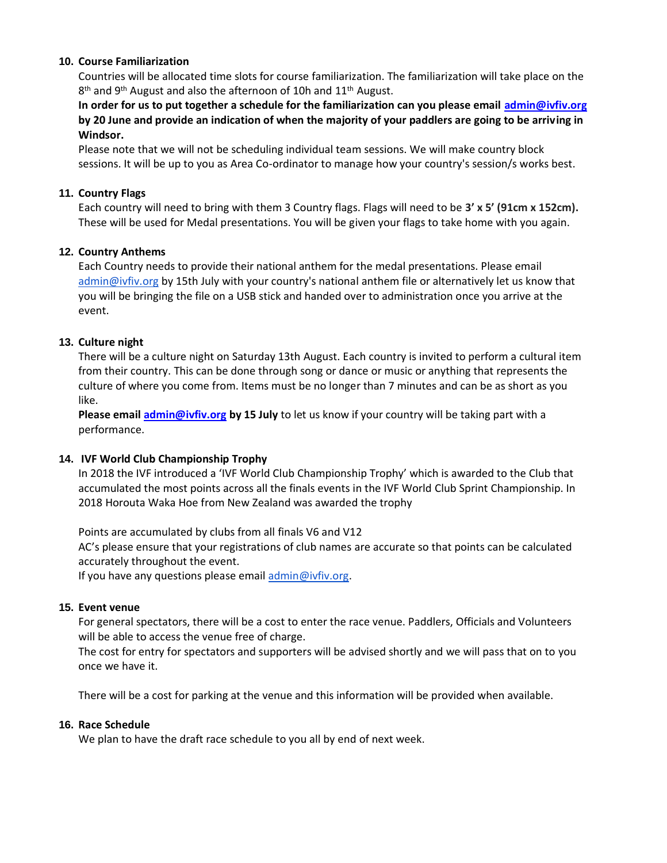#### **10. Course Familiarization**

Countries will be allocated time slots for course familiarization. The familiarization will take place on the 8<sup>th</sup> and 9<sup>th</sup> August and also the afternoon of 10h and 11<sup>th</sup> August.

**In order for us to put together a schedule for the familiarization can you please email [admin@ivfiv.org](mailto:admin@ivfiv.org) by 20 June and provide an indication of when the majority of your paddlers are going to be arriving in Windsor.** 

Please note that we will not be scheduling individual team sessions. We will make country block sessions. It will be up to you as Area Co-ordinator to manage how your country's session/s works best.

#### **11. Country Flags**

Each country will need to bring with them 3 Country flags. Flags will need to be **3' x 5' (91cm x 152cm).**  These will be used for Medal presentations. You will be given your flags to take home with you again.

## **12. Country Anthems**

Each Country needs to provide their national anthem for the medal presentations. Please email [admin@ivfiv.org](mailto:admin@ivfiv.org) by 15th July with your country's national anthem file or alternatively let us know that you will be bringing the file on a USB stick and handed over to administration once you arrive at the event.

#### **13. Culture night**

There will be a culture night on Saturday 13th August. Each country is invited to perform a cultural item from their country. This can be done through song or dance or music or anything that represents the culture of where you come from. Items must be no longer than 7 minutes and can be as short as you like.

**Please emai[l admin@ivfiv.org](mailto:admin@ivfiv.org) by 15 July** to let us know if your country will be taking part with a performance.

#### **14. IVF World Club Championship Trophy**

In 2018 the IVF introduced a 'IVF World Club Championship Trophy' which is awarded to the Club that accumulated the most points across all the finals events in the IVF World Club Sprint Championship. In 2018 Horouta Waka Hoe from New Zealand was awarded the trophy

Points are accumulated by clubs from all finals V6 and V12

AC's please ensure that your registrations of club names are accurate so that points can be calculated accurately throughout the event.

If you have any questions please email [admin@ivfiv.org.](mailto:admin@ivfiv.org)

#### **15. Event venue**

For general spectators, there will be a cost to enter the race venue. Paddlers, Officials and Volunteers will be able to access the venue free of charge.

The cost for entry for spectators and supporters will be advised shortly and we will pass that on to you once we have it.

There will be a cost for parking at the venue and this information will be provided when available.

#### **16. Race Schedule**

We plan to have the draft race schedule to you all by end of next week.